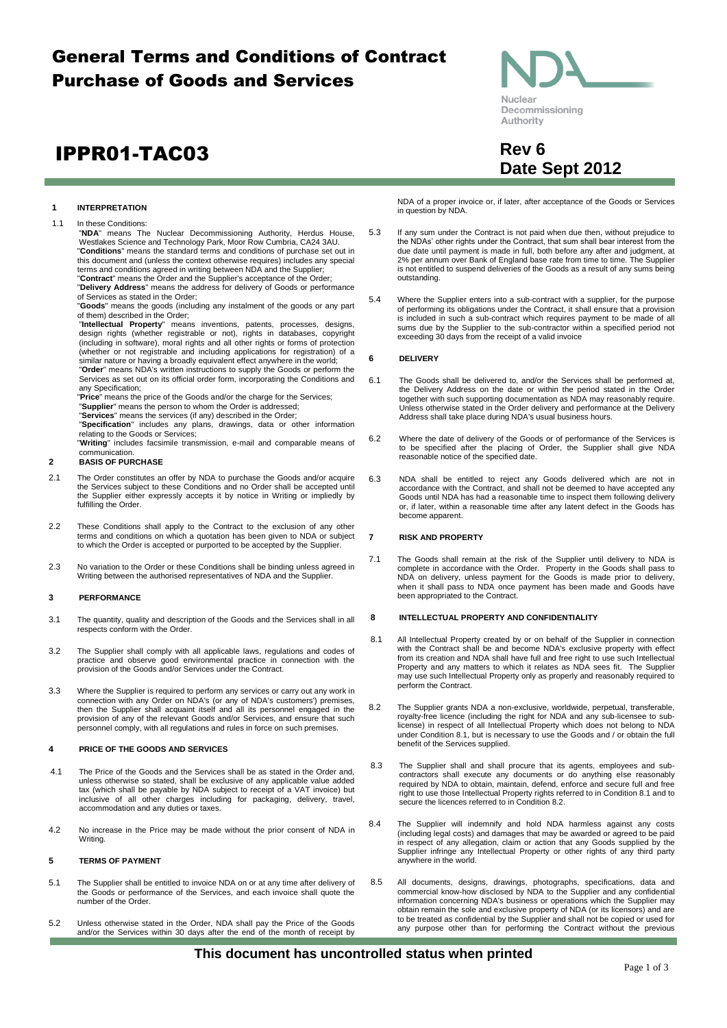## General Terms and Conditions of Contract Purchase of Goods and Services

# **IPPR01-TAC03** Rev 6



1.1 In these Conditions:

"**NDA**" means The Nuclear Decommissioning Authority, Herdus House, Westlakes Science and Technology Park, Moor Row Cumbria, CA24 3AU. "**Conditions**" means the standard terms and conditions of purchase set out in this document and (unless the context otherwise requires) includes any special

terms and conditions agreed in writing between NDA and the Supplier;<br>"**Contract**" means the Order and the Supplier's acceptance of the Order;<br>"**Delivery Address**" means the address for delivery of Goods or performance

of Services as stated in the Order; "**Goods**" means the goods (including any instalment of the goods or any part

of them) described in the Order;

"Intellectual Property" means inventions, patents, processes, designs,<br>design rights (whether registrable or not), rights in databases, copyright<br>(including in software), moral rights and all other rights or forms of prote

(whether or not registrable and including applications for registration) of a<br>similar nature or having a broadly equivalent effect anywhere in the world;<br>"**Order**" means NDA's written instructions to supply the Goods or pe Services as set out on its official order form, incorporating the Conditions and any Specification;

"**Price**" means the price of the Goods and/or the charge for the Services;

"**Supplier**" means the person to whom the Order is addressed; "**Services**" means the services (if any) described in the Order; "**Specification**" includes any plans, drawings, data or other information

relating to the Goods or Services; "**Writing**" includes facsimile transmission, e-mail and comparable means of communication.

#### **2 BASIS OF PURCHASE**

- 2.1 The Order constitutes an offer by NDA to purchase the Goods and/or acquire the Services subject to these Conditions and no Order shall be accepted until the Supplier either expressly accepts it by notice in Writing or impliedly by fulfilling the Order.
- 2.2 These Conditions shall apply to the Contract to the exclusion of any other terms and conditions on which a quotation has been given to NDA or subject to which the Order is accepted or purported to be accepted by the Supplier.
- 2.3 No variation to the Order or these Conditions shall be binding unless agreed in Writing between the authorised representatives of NDA and the Supplier.

#### **3 PERFORMANCE**

- 3.1 The quantity, quality and description of the Goods and the Services shall in all respects conform with the Order.
- 3.2 The Supplier shall comply with all applicable laws, regulations and codes of practice and observe good environmental practice in connection with the provision of the Goods and/or Services under the Contract.
- 3.3 Where the Supplier is required to perform any services or carry out any work in connection with any Order on NDA's (or any of NDA's customers') premises, then the Supplier shall acquaint itself and all its personnel en provision of any of the relevant Goods and/or Services, and ensure that such personnel comply, with all regulations and rules in force on such premises.

#### **4 PRICE OF THE GOODS AND SERVICES**

- 4.1 The Price of the Goods and the Services shall be as stated in the Order and, unless otherwise so stated, shall be exclusive of any applicable value added tax (which shall be payable by NDA subject to receipt of a VAT invoice) but inclusive of all other charges including for packaging, delivery, travel, accommodation and any duties or taxes.
- 4.2 No increase in the Price may be made without the prior consent of NDA in Writing.

#### **5 TERMS OF PAYMENT**

- 5.1 The Supplier shall be entitled to invoice NDA on or at any time after delivery of the Goods or performance of the Services, and each invoice shall quote the number of the Order.
- 5.2 Unless otherwise stated in the Order, NDA shall pay the Price of the Goods and/or the Services within 30 days after the end of the month of receipt by

NDA of a proper invoice or, if later, after acceptance of the Goods or Services in question by NDA.

- 5.3 If any sum under the Contract is not paid when due then, without prejudice to the NDAs' other rights under the Contract, that sum shall bear interest from the due date until payment is made in full, both before any after and judgment, at 2% per annum over Bank of England base rate from time to time. The Supplier is not entitled to suspend deliveries of the Goods as a result of any sums being outstanding.
- 5.4 Where the Supplier enters into a sub-contract with a supplier, for the purpose of performing its obligations under the Contract, it shall ensure that a provision is included in such a sub-contract which requires payment to be made of all sums due by the Supplier to the sub-contractor within a specified period not exceeding 30 days from the receipt of a valid invoice

#### **6 DELIVERY**

- 6.1 The Goods shall be delivered to, and/or the Services shall be performed at, the Delivery Address on the date or within the period stated in the Order together with such supporting documentation as NDA may reasonably require.<br>Unless otherwise stated in the Order delivery and performance at the Delivery Address shall take place during NDA's usual business hours.
- 6.2 Where the date of delivery of the Goods or of performance of the Services is to be specified after the placing of Order, the Supplier shall give NDA reasonable notice of the specified date.
- 6.3 NDA shall be entitled to reject any Goods delivered which are not in accordance with the Contract, and shall not be deemed to have accepted any Goods until NDA has had a reasonable time to inspect them following delivery or, if later, within a reasonable time after any latent defect in the Goods has become apparent.

#### **7 RISK AND PROPERTY**

7.1 The Goods shall remain at the risk of the Supplier until delivery to NDA is complete in accordance with the Order. Property in the Goods shall pass to NDA on delivery, unless payment for the Goods is made prior to delivery, when it shall pass to NDA once payment has been made and Goods have been appropriated to the Contract.

#### <span id="page-0-2"></span>**8 INTELLECTUAL PROPERTY AND CONFIDENTIALITY**

- <span id="page-0-0"></span>8.1 All Intellectual Property created by or on behalf of the Supplier in connection with the Contract shall be and become NDA's exclusive property with effect from its creation and NDA shall have full and free right to use such Intellectual Property and any matters to which it relates as NDA sees fit. The Supplier may use such Intellectual Property only as properly and reasonably required to perform the Contract.
- <span id="page-0-1"></span>8.2 The Supplier grants NDA a non-exclusive, worldwide, perpetual, transferable, royalty-free licence (including the right for NDA and any sub-licensee to sublicense) in respect of all Intellectual Property which does not belong to NDA under Condition [8.1,](#page-0-0) but is necessary to use the Goods and / or obtain the full benefit of the Services supplied.
- 8.3 The Supplier shall and shall procure that its agents, employees and subcontractors shall execute any documents or do anything else reasonably required by NDA to obtain, maintain, defend, enforce and secure full and free right to use those Intellectual Property rights referred to in Condition [8.1](#page-0-0) and to secure the licences referred to in Conditio[n 8.2.](#page-0-1)
- 8.4 The Supplier will indemnify and hold NDA harmless against any costs (including legal costs) and damages that may be awarded or agreed to be paid in respect of any allegation, claim or action that any Goods supplied by the Supplier infringe any Intellectual Property or other rights of any third party anywhere in the world.
- 8.5 All documents, designs, drawings, photographs, specifications, data and commercial know-how disclosed by NDA to the Supplier and any confidential information concerning NDA's business or operations which the Supplier may obtain remain the sole and exclusive property of NDA (or its licensors) and are to be treated as confidential by the Supplier and shall not be copied or used for any purpose other than for performing the Contract without the previous



**Date Sept 2012**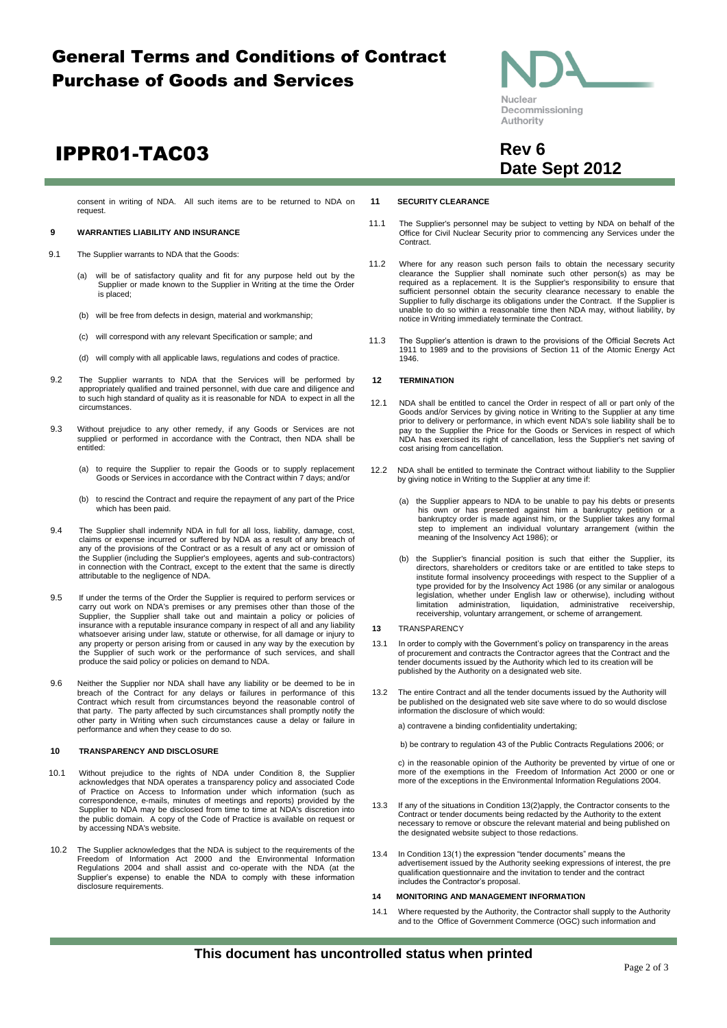## General Terms and Conditions of Contract Purchase of Goods and Services

# **IPPR01-TAC03** Rev 6

consent in writing of NDA. All such items are to be returned to NDA on request.

#### **9 WARRANTIES LIABILITY AND INSURANCE**

- 9.1 The Supplier warrants to NDA that the Goods:
	- (a) will be of satisfactory quality and fit for any purpose held out by the Supplier or made known to the Supplier in Writing at the time the Order is placed;
	- (b) will be free from defects in design, material and workmanship;
	- (c) will correspond with any relevant Specification or sample; and
	- (d) will comply with all applicable laws, regulations and codes of practice.
- 9.2 The Supplier warrants to NDA that the Services will be performed by appropriately qualified and trained personnel, with due care and diligence and to such high standard of quality as it is reasonable for NDA to expect in all the circumstances.
- 9.3 Without prejudice to any other remedy, if any Goods or Services are not supplied or performed in accordance with the Contract, then NDA shall be entitled:
	- (a) to require the Supplier to repair the Goods or to supply replacement Goods or Services in accordance with the Contract within 7 days; and/or
	- (b) to rescind the Contract and require the repayment of any part of the Price which has been paid.
- 9.4 The Supplier shall indemnify NDA in full for all loss, liability, damage, cost, claims or expense incurred or suffered by NDA as a result of any breach of any of the provisions of the Contract or as a result of any act the Supplier (including the Supplier's employees, agents and sub-contractors) in connection with the Contract, except to the extent that the same is directly attributable to the negligence of NDA.
- 9.5 If under the terms of the Order the Supplier is required to perform services or carry out work on NDA's premises or any premises other than those of the Supplier, the Supplier shall take out and maintain a policy or policies of insurance with a reputable insurance company in respect of all and any liability whatsoever arising under law, statute or otherwise, for all damage or injury to any property or person arising from or caused in any way by the execution by the Supplier of such work or the performance of such services, and shall produce the said policy or policies on demand to NDA.
- 9.6 Neither the Supplier nor NDA shall have any liability or be deemed to be in breach of the Contract for any delays or failures in performance of this Contract which result from circumstances beyond the reasonable control of that party. The party affected by such circumstances shall promptly notify the other party in Writing when such circumstances cause a delay or failure in performance and when they cease to do so.

#### **10 TRANSPARENCY AND DISCLOSURE**

- 10.1 Without prejudice to the rights of NDA under Condition [8,](#page-0-2) the Supplier acknowledges that NDA operates a transparency policy and associated Code of Practice on Access to Information under which information (such as correspondence, e-mails, minutes of meetings and reports) provided by the<br>Supplier to NDA may be disclosed from time to time at NDA's discretion into<br>the public domain. A copy of the Code of Practice is available on reques by accessing NDA's website.
- 10.2 The Supplier acknowledges that the NDA is subject to the requirements of the Freedom of Information Act 2000 and the Environmental Information Regulations 2004 and shall assist and co-operate with the NDA (at the Supplier's expense) to enable the NDA to comply with these information disclosure requirements.

#### **11 SECURITY CLEARANCE**

- 11.1 The Supplier's personnel may be subject to vetting by NDA on behalf of the Office for Civil Nuclear Security prior to commencing any Services under the Contract.
- 11.2 Where for any reason such person fails to obtain the necessary security clearance the Supplier shall nominate such other person(s) as may be required as a replacement. It is the Supplier's responsibility to ensure that sufficient personnel obtain the security clearance necessary to enable the Supplier to fully discharge its obligations under the Contract. If the Supplier is unable to do so within a reasonable time then NDA may, without liability, by notice in Writing immediately terminate the Contract.
- 11.3 The Supplier's attention is drawn to the provisions of the Official Secrets Act 1911 to 1989 and to the provisions of Section 11 of the Atomic Energy Act 1946.

#### **12 TERMINATION**

- 12.1 NDA shall be entitled to cancel the Order in respect of all or part only of the Goods and/or Services by giving notice in Writing to the Supplier at any time prior to delivery or performance, in which event NDA's sole liability shall be to pay to the Supplier the Price for the Goods or Services in respect of which NDA has exercised its right of cancellation, less the Supplier's net saving of cost arising from cancellation.
- 12.2 NDA shall be entitled to terminate the Contract without liability to the Supplier by giving notice in Writing to the Supplier at any time if:
	- (a) the Supplier appears to NDA to be unable to pay his debts or presents his own or has presented against him a bankruptcy petition or a bankruptcy order is made against him, or the Supplier takes any formal step to implement an individual voluntary arrangement (within the meaning of the Insolvency Act 1986); or
	- (b) the Supplier's financial position is such that either the Supplier, its directors, shareholders or creditors take or are entitled to take steps to institute formal insolvency proceedings with respect to the Supplier of a type provided for by the Insolvency Act 1986 (or any similar or analogous legislation, whether under English law or otherwise), including without limitation administration, liquidation, administrative receivership, receivership, voluntary arrangement, or scheme of arrangement.
- **13** TRANSPARENCY
- 13.1 In order to comply with the Government's policy on transparency in the areas of procurement and contracts the Contractor agrees that the Contract and the tender documents issued by the Authority which led to its creation will be published by the Authority on a designated web site.
- 13.2 The entire Contract and all the tender documents issued by the Authority will be published on the designated web site save where to do so would disclose information the disclosure of which would:

a) contravene a binding confidentiality undertaking;

b) be contrary to regulation 43 of the Public Contracts Regulations 2006; or

c) in the reasonable opinion of the Authority be prevented by virtue of one or more of the exemptions in the Freedom of Information Act 2000 or one or more of the exceptions in the Environmental Information Regulations 2004.

- 13.3 If any of the situations in Condition 13(2)apply, the Contractor consents to the Contract or tender documents being redacted by the Authority to the extent necessary to remove or obscure the relevant material and being published on the designated website subject to those redactions.
- 13.4 In Condition 13(1) the expression "tender documents" means the advertisement issued by the Authority seeking expressions of interest, the pre qualification questionnaire and the invitation to tender and the contract includes the Contractor's proposal.

#### **14 MONITORING AND MANAGEMENT INFORMATION**

14.1 Where requested by the Authority, the Contractor shall supply to the Authority and to the Office of Government Commerce (OGC) such information and



**Date Sept 2012**